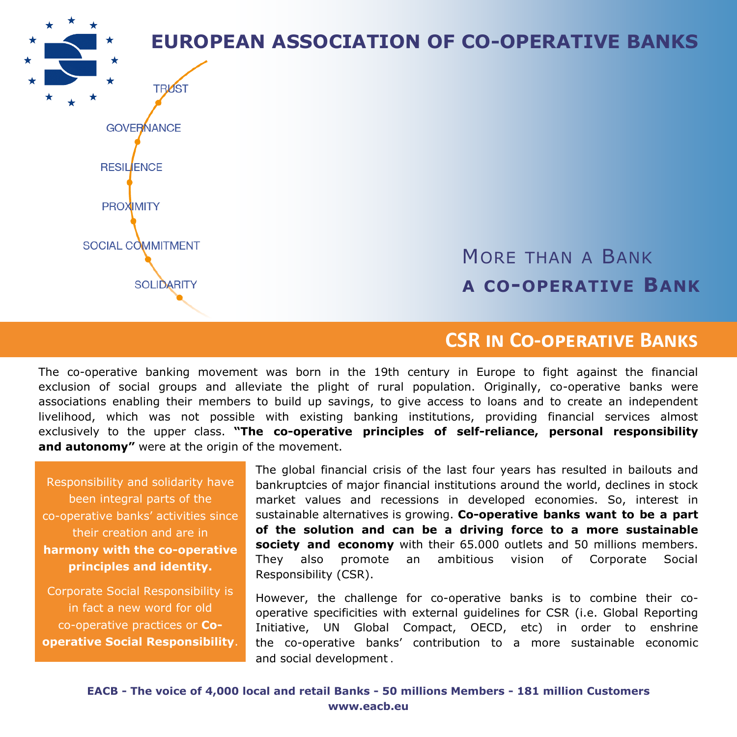**EUROPEAN ASSOCIATION OF CO-OPERATIVE BANKS TRIAST GOVERNANCE RESIL**ENCE **PROXIMITY** SOCIAL COMMITMENT MORE THAN A BANK **SOLIDARITY A CO-OPERATIVE BANK**

# **CSR in Co-operative Banks**

The co-operative banking movement was born in the 19th century in Europe to fight against the financial exclusion of social groups and alleviate the plight of rural population. Originally, co-operative banks were associations enabling their members to build up savings, to give access to loans and to create an independent livelihood, which was not possible with existing banking institutions, providing financial services almost exclusively to the upper class. **"The co-operative principles of self-reliance, personal responsibility and autonomy"** were at the origin of the movement.

Responsibility and solidarity have been integral parts of the co-operative banks' activities since their creation and are in **harmony with the co-operative principles and identity.** 

Corporate Social Responsibility is in fact a new word for old co-operative practices or **Cooperative Social Responsibility**.

The global financial crisis of the last four years has resulted in bailouts and bankruptcies of major financial institutions around the world, declines in stock market values and recessions in developed economies. So, interest in sustainable alternatives is growing. **Co-operative banks want to be a part of the solution and can be a driving force to a more sustainable society and economy** with their 65.000 outlets and 50 millions members. They also promote an ambitious vision of Corporate Social Responsibility (CSR).

However, the challenge for co-operative banks is to combine their cooperative specificities with external guidelines for CSR (i.e. Global Reporting Initiative, UN Global Compact, OECD, etc) in order to enshrine the co-operative banks' contribution to a more sustainable economic and social development .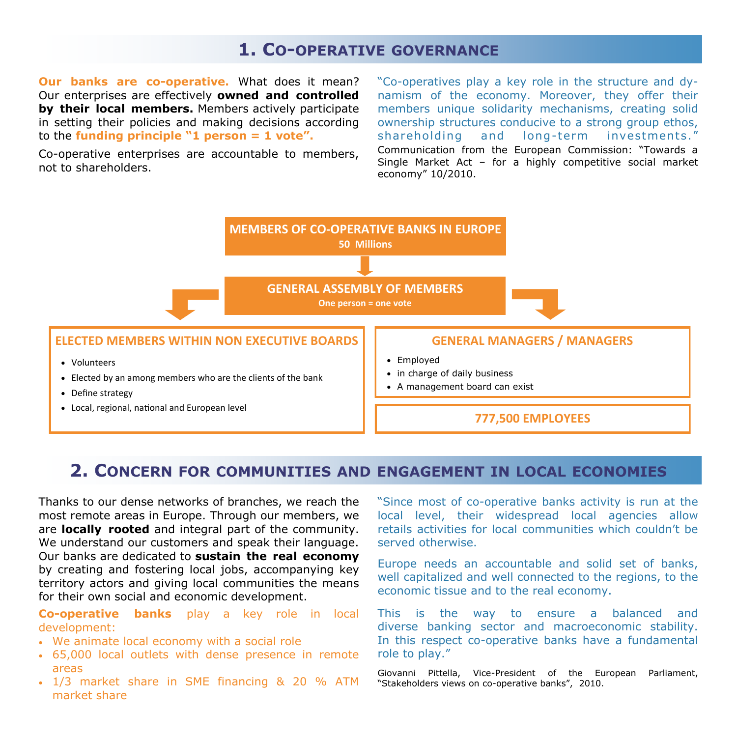# **1. CO-OPERATIVE GOVERNANCE**

**Our banks are co-operative.** What does it mean? Our enterprises are effectively **owned and controlled by their local members.** Members actively participate in setting their policies and making decisions according to the **funding principle "1 person = 1 vote".** 

Co-operative enterprises are accountable to members, not to shareholders.

"Co-operatives play a key role in the structure and dynamism of the economy. Moreover, they offer their members unique solidarity mechanisms, creating solid ownership structures conducive to a strong group ethos, shareholding and long-term investments." Communication from the European Commission: "Towards a Single Market Act – for a highly competitive social market economy" 10/2010.



## **2. CONCERN FOR COMMUNITIES AND ENGAGEMENT IN LOCAL ECONOMIES**

Thanks to our dense networks of branches, we reach the most remote areas in Europe. Through our members, we are **locally rooted** and integral part of the community. We understand our customers and speak their language. Our banks are dedicated to **sustain the real economy**  by creating and fostering local jobs, accompanying key territory actors and giving local communities the means for their own social and economic development.

**Co-operative banks** play a key role in local development:

- We animate local economy with a social role
- 65,000 local outlets with dense presence in remote areas
- 1/3 market share in SME financing & 20 % ATM market share

"Since most of co-operative banks activity is run at the local level, their widespread local agencies allow retails activities for local communities which couldn't be served otherwise.

Europe needs an accountable and solid set of banks, well capitalized and well connected to the regions, to the economic tissue and to the real economy.

This is the way to ensure a balanced and diverse banking sector and macroeconomic stability. In this respect co-operative banks have a fundamental role to play."

Giovanni Pittella, Vice-President of the European Parliament, "Stakeholders views on co-operative banks", 2010.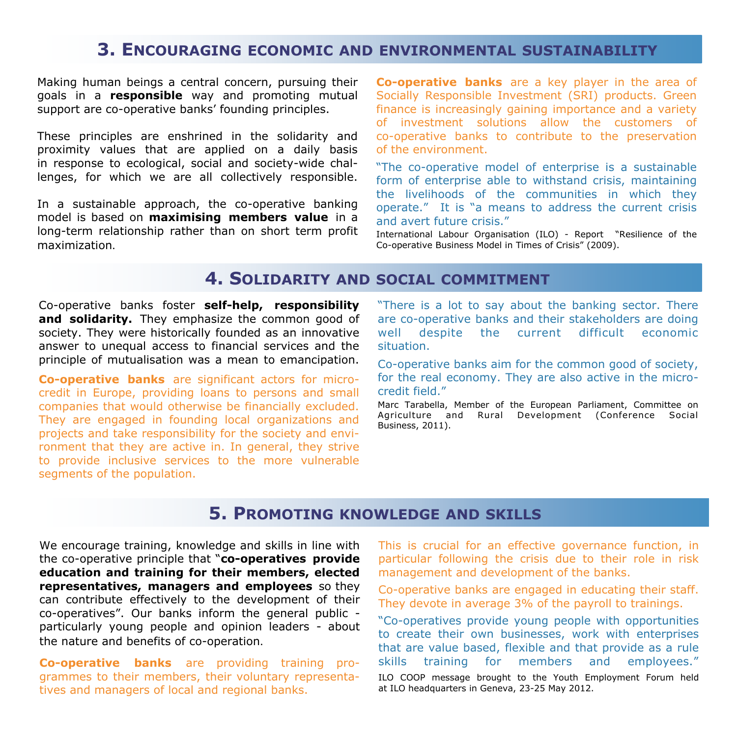## **3. ENCOURAGING ECONOMIC AND ENVIRONMENTAL SUSTAINABILITY**

Making human beings a central concern, pursuing their goals in a **responsible** way and promoting mutual support are co-operative banks' founding principles.

These principles are enshrined in the solidarity and proximity values that are applied on a daily basis in response to ecological, social and society-wide challenges, for which we are all collectively responsible.

In a sustainable approach, the co-operative banking model is based on **maximising members value** in a long-term relationship rather than on short term profit maximization.

**Co-operative banks** are a key player in the area of Socially Responsible Investment (SRI) products. Green finance is increasingly gaining importance and a variety of investment solutions allow the customers of co-operative banks to contribute to the preservation of the environment.

"The co-operative model of enterprise is a sustainable form of enterprise able to withstand crisis, maintaining the livelihoods of the communities in which they operate." It is "a means to address the current crisis and avert future crisis."

International Labour Organisation (ILO) - Report "Resilience of the Co-operative Business Model in Times of Crisis" (2009).

# **4. SOLIDARITY AND SOCIAL COMMITMENT**

Co-operative banks foster **self-help, responsibility and solidarity.** They emphasize the common good of society. They were historically founded as an innovative answer to unequal access to financial services and the principle of mutualisation was a mean to emancipation.

**Co-operative banks** are significant actors for microcredit in Europe, providing loans to persons and small companies that would otherwise be financially excluded. They are engaged in founding local organizations and projects and take responsibility for the society and environment that they are active in. In general, they strive to provide inclusive services to the more vulnerable segments of the population.

"There is a lot to say about the banking sector. There are co-operative banks and their stakeholders are doing well despite the current difficult economic situation.

Co-operative banks aim for the common good of society, for the real economy. They are also active in the microcredit field."

Marc Tarabella, Member of the European Parliament, Committee on Agriculture and Rural Development (Conference Social Business, 2011).

### **5. PROMOTING KNOWLEDGE AND SKILLS**

We encourage training, knowledge and skills in line with the co-operative principle that "**co-operatives provide education and training for their members, elected representatives, managers and employees** so they can contribute effectively to the development of their co-operatives". Our banks inform the general public particularly young people and opinion leaders - about the nature and benefits of co-operation.

**Co-operative banks** are providing training programmes to their members, their voluntary representatives and managers of local and regional banks.

This is crucial for an effective governance function, in particular following the crisis due to their role in risk management and development of the banks.

Co-operative banks are engaged in educating their staff. They devote in average 3% of the payroll to trainings.

"Co-operatives provide young people with opportunities to create their own businesses, work with enterprises that are value based, flexible and that provide as a rule skills training for members and employees."

ILO COOP message brought to the Youth Employment Forum held at ILO headquarters in Geneva, 23-25 May 2012.